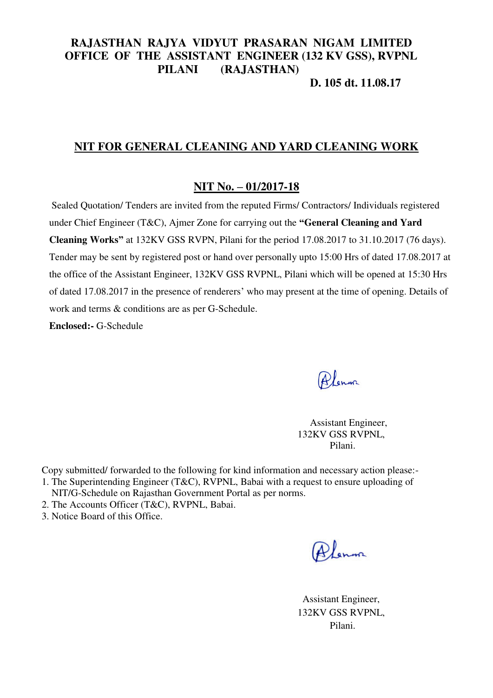# **RAJASTHAN RAJYA VIDYUT PRASARAN NIGAM LIMITED OFFICE OF THE ASSISTANT ENGINEER (132 KV GSS), RVPNL PILANI (RAJASTHAN)**

## **D. 105 dt. 11.08.17**

#### **NIT FOR GENERAL CLEANING AND YARD CLEANING WORK**

#### **NIT No. – 01/2017-18**

 Sealed Quotation/ Tenders are invited from the reputed Firms/ Contractors/ Individuals registered under Chief Engineer (T&C), Ajmer Zone for carrying out the **"General Cleaning and Yard Cleaning Works"** at 132KV GSS RVPN, Pilani for the period 17.08.2017 to 31.10.2017 (76 days). Tender may be sent by registered post or hand over personally upto 15:00 Hrs of dated 17.08.2017 at the office of the Assistant Engineer, 132KV GSS RVPNL, Pilani which will be opened at 15:30 Hrs of dated 17.08.2017 in the presence of renderers' who may present at the time of opening. Details of work and terms & conditions are as per G-Schedule.

**Enclosed:-** G-Schedule

Alenna

 Assistant Engineer, 132KV GSS RVPNL, Pilani.

Copy submitted/ forwarded to the following for kind information and necessary action please:- 1. The Superintending Engineer (T&C), RVPNL, Babai with a request to ensure uploading of

- NIT/G-Schedule on Rajasthan Government Portal as per norms.
- 2. The Accounts Officer (T&C), RVPNL, Babai.
- 3. Notice Board of this Office.

Alenna

 Assistant Engineer, 132KV GSS RVPNL, Pilani.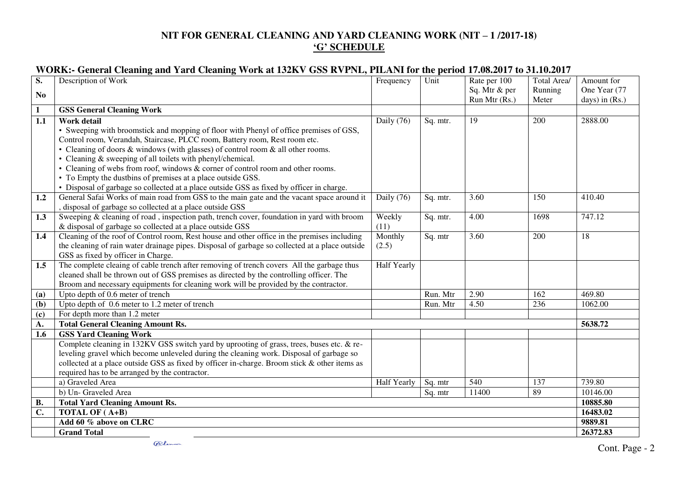### **NIT FOR GENERAL CLEANING AND YARD CLEANING WORK (NIT – 1 /2017-18) 'G' SCHEDULE**

#### **WORK:- General Cleaning and Yard Cleaning Work at 132KV GSS RVPNL, PILANI for the period 17.08.2017 to 31.10.2017**

| S.              | Description of Work                                                                                                                                                                     | Frequency          | Unit               | Rate per 100  | Total Area/ | Amount for       |
|-----------------|-----------------------------------------------------------------------------------------------------------------------------------------------------------------------------------------|--------------------|--------------------|---------------|-------------|------------------|
| N <sub>0</sub>  |                                                                                                                                                                                         |                    |                    | Sq. Mtr & per | Running     | One Year (77     |
|                 |                                                                                                                                                                                         |                    |                    | Run Mtr (Rs.) | Meter       | days) in $(Rs.)$ |
| 1               | <b>GSS General Cleaning Work</b>                                                                                                                                                        |                    |                    |               |             |                  |
| 1.1             | Work detail                                                                                                                                                                             | Daily (76)         | Sq. mtr.           | 19            | 200         | 2888.00          |
|                 | • Sweeping with broomstick and mopping of floor with Phenyl of office premises of GSS,                                                                                                  |                    |                    |               |             |                  |
|                 | Control room, Verandah, Staircase, PLCC room, Battery room, Rest room etc.                                                                                                              |                    |                    |               |             |                  |
|                 | • Cleaning of doors $\&$ windows (with glasses) of control room $\&$ all other rooms.                                                                                                   |                    |                    |               |             |                  |
|                 | • Cleaning & sweeping of all toilets with phenyl/chemical.                                                                                                                              |                    |                    |               |             |                  |
|                 | • Cleaning of webs from roof, windows & corner of control room and other rooms.                                                                                                         |                    |                    |               |             |                  |
|                 | • To Empty the dustbins of premises at a place outside GSS.                                                                                                                             |                    |                    |               |             |                  |
|                 | • Disposal of garbage so collected at a place outside GSS as fixed by officer in charge.                                                                                                |                    |                    |               |             |                  |
| 1.2             | General Safai Works of main road from GSS to the main gate and the vacant space around it                                                                                               | Daily (76)         | Sq. mtr.           | 3.60          | 150         | 410.40           |
|                 | , disposal of garbage so collected at a place outside GSS                                                                                                                               |                    |                    |               |             |                  |
| 1.3             | Sweeping & cleaning of road, inspection path, trench cover, foundation in yard with broom                                                                                               | Weekly             | Sq. mtr.           | 4.00          | 1698        | 747.12           |
|                 | & disposal of garbage so collected at a place outside GSS                                                                                                                               | (11)               |                    |               |             |                  |
| 1.4             | Cleaning of the roof of Control room, Rest house and other office in the premises including                                                                                             | Monthly            | Sq. mtr            | 3.60          | 200         | 18               |
|                 | the cleaning of rain water drainage pipes. Disposal of garbage so collected at a place outside                                                                                          | (2.5)              |                    |               |             |                  |
|                 | GSS as fixed by officer in Charge.                                                                                                                                                      |                    |                    |               |             |                  |
| 1.5             | The complete cleaing of cable trench after removing of trench covers All the garbage thus                                                                                               | <b>Half Yearly</b> |                    |               |             |                  |
|                 | cleaned shall be thrown out of GSS premises as directed by the controlling officer. The                                                                                                 |                    |                    |               |             |                  |
|                 | Broom and necessary equipments for cleaning work will be provided by the contractor.                                                                                                    |                    |                    |               |             |                  |
| (a)             | Upto depth of 0.6 meter of trench                                                                                                                                                       |                    | Run. Mtr           | 2.90          | 162         | 469.80           |
| (b)             | Upto depth of 0.6 meter to 1.2 meter of trench                                                                                                                                          |                    | Run. Mtr           | 4.50          | 236         | 1062.00          |
| (c)             | For depth more than 1.2 meter                                                                                                                                                           |                    |                    |               |             |                  |
| A.              | <b>Total General Cleaning Amount Rs.</b>                                                                                                                                                |                    |                    |               |             | 5638.72          |
| 1.6             | <b>GSS Yard Cleaning Work</b>                                                                                                                                                           |                    |                    |               |             |                  |
|                 | Complete cleaning in 132KV GSS switch yard by uprooting of grass, trees, buses etc. & re-                                                                                               |                    |                    |               |             |                  |
|                 | leveling gravel which become unleveled during the cleaning work. Disposal of garbage so<br>collected at a place outside GSS as fixed by officer in-charge. Broom stick & other items as |                    |                    |               |             |                  |
|                 | required has to be arranged by the contractor.                                                                                                                                          |                    |                    |               |             |                  |
|                 | a) Graveled Area                                                                                                                                                                        | Half Yearly        |                    | 540           | 137         | 739.80           |
|                 | b) Un- Graveled Area                                                                                                                                                                    |                    | Sq. mtr<br>Sq. mtr | 11400         | 89          | 10146.00         |
|                 |                                                                                                                                                                                         |                    |                    |               |             | 10885.80         |
| <b>B.</b><br>C. | <b>Total Yard Cleaning Amount Rs.</b><br>TOTAL OF (A+B)                                                                                                                                 |                    |                    |               |             | 16483.02         |
|                 | Add 60 % above on CLRC                                                                                                                                                                  |                    |                    |               |             | 9889.81          |
|                 | <b>Grand Total</b>                                                                                                                                                                      |                    |                    |               |             | 26372.83         |
|                 |                                                                                                                                                                                         |                    |                    |               |             |                  |